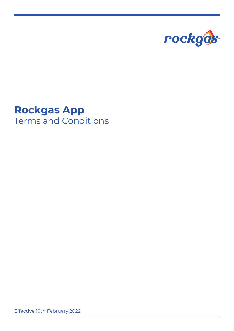

## **Rockgas App** Terms and Conditions

Effective 10th February 2022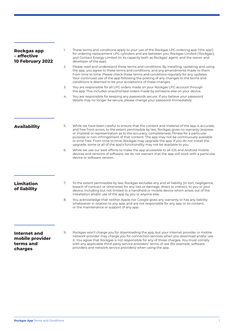| <b>Rockgas app</b><br>- effective<br>10 February 2022          | 1. | These terms and conditions apply to your use of the Rockgas LPG ordering app ('the app')<br>for ordering replacement LPG cylinders and are between you, Rockgas Limited ('Rockgas'),<br>and Contact Energy Limited (in its capacity both as Rockgas' agent, and the owner and<br>developer of the app).                                                                                                                                                                                                                                                    |
|----------------------------------------------------------------|----|------------------------------------------------------------------------------------------------------------------------------------------------------------------------------------------------------------------------------------------------------------------------------------------------------------------------------------------------------------------------------------------------------------------------------------------------------------------------------------------------------------------------------------------------------------|
|                                                                | 2. | Please read and understand these terms and conditions. By installing, updating and using<br>the app, you agree to these terms and conditions, and any amendments made to them<br>from time to time. Please check these terms and conditions regularly for any updates.<br>Your continued use of the app following the posting of any changes to the terms and<br>conditions is deemed to be your acceptance of these changes.                                                                                                                              |
|                                                                | 3. | You are responsible for all LPG orders made on your Rockgas LPG account through<br>the app. This includes unauthorised orders made by someone else on your device.                                                                                                                                                                                                                                                                                                                                                                                         |
|                                                                | 4. | You are responsible for keeping any passwords secure. If you believe your password<br>details may no longer be secure, please change your password immediately.                                                                                                                                                                                                                                                                                                                                                                                            |
|                                                                |    |                                                                                                                                                                                                                                                                                                                                                                                                                                                                                                                                                            |
| <b>Availability</b>                                            | 5. | While we have been careful to ensure that the content and material of the app is accurate,<br>and free from errors, to the extent permissible by law, Rockgas gives no warranty (express<br>or implied) or representation as to the accuracy, completeness, fitness for a particular<br>purpose or non-infringement of that content. The app may not be continuously available<br>or error free. From time to time, Rockgas may upgrade the app. If you do not install the<br>upgrade, some or all of the app's functionality may not be available to you. |
|                                                                | 6. | While we use our best efforts to make the app accessible to all iOS and Android mobile<br>devices and versions of software, we do not warrant that the app will work with a particular<br>device or software version.                                                                                                                                                                                                                                                                                                                                      |
|                                                                | 7. |                                                                                                                                                                                                                                                                                                                                                                                                                                                                                                                                                            |
| <b>Limitation</b><br>of liability                              |    | To the extent permissible by law, Rockgas excludes any and all liability (in tort, negligence,<br>breach of contract or otherwise) for any loss or damage, direct or indirect, to you or your<br>device, including but not limited to a handheld or mobile device which arises out of the<br>installation and/or use of the app by you or anyone else.                                                                                                                                                                                                     |
|                                                                | 8. | You acknowledge that neither Apple nor Google gives any warranty or has any liability<br>whatsoever in relation to any app, and are not responsible for any app or its content,<br>or the maintenance or support of any app.                                                                                                                                                                                                                                                                                                                               |
|                                                                |    |                                                                                                                                                                                                                                                                                                                                                                                                                                                                                                                                                            |
| <b>Internet and</b><br>mobile provider<br>terms and<br>charges | 9. | Rockgas won't charge you for downloading the app, but your internet provider or mobile<br>network provider may charge you for connection services when you download and/or use<br>it. You agree that Rockgas is not responsible for any of those charges. You must comply<br>with any applicable third-party service providers' terms of use (for example, software<br>providers and network service providers) when using the app.                                                                                                                        |